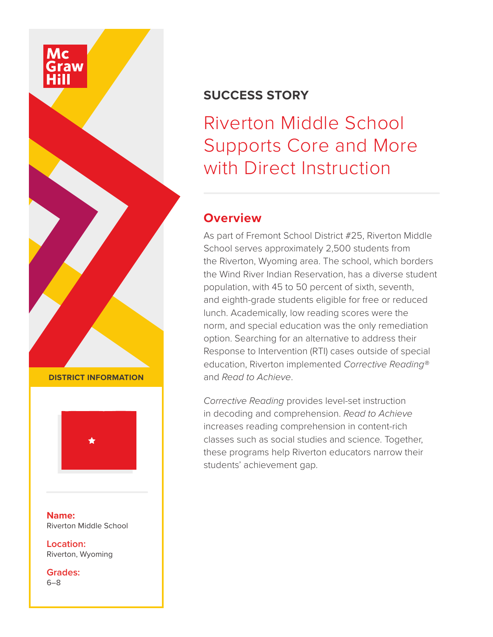

## **SUCCESS STORY**

Riverton Middle School Supports Core and More with Direct Instruction

## **Overview**

As part of Fremont School District #25, Riverton Middle School serves approximately 2,500 students from the Riverton, Wyoming area. The school, which borders the Wind River Indian Reservation, has a diverse student population, with 45 to 50 percent of sixth, seventh, and eighth-grade students eligible for free or reduced lunch. Academically, low reading scores were the norm, and special education was the only remediation option. Searching for an alternative to address their Response to Intervention (RTI) cases outside of special education, Riverton implemented *Corrective Reading®* and *Read to Achieve*.

*Corrective Reading* provides level-set instruction in decoding and comprehension. *Read to Achieve* increases reading comprehension in content-rich classes such as social studies and science. Together, these programs help Riverton educators narrow their students' achievement gap.

**DISTRICT INFORMATION**



**Name:** Riverton Middle School

**Location:** Riverton, Wyoming

**Grades:** 6–8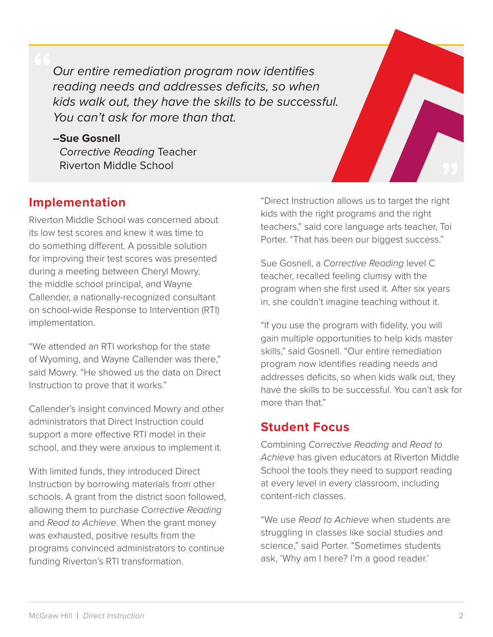*Our entire remediation program now identifies reading needs and addresses deficits, so when kids walk out, they have the skills to be successful. You can't ask for more than that.*

#### **–Sue Gosnell**

*Corrective Reading* Teacher Riverton Middle School

## **Implementation**

Riverton Middle School was concerned about its low test scores and knew it was time to do something different. A possible solution for improving their test scores was presented during a meeting between Cheryl Mowry, the middle school principal, and Wayne Callender, a nationally-recognized consultant on school-wide Response to Intervention (RTI) implementation.

"We attended an RTI workshop for the state of Wyoming, and Wayne Callender was there," said Mowry. "He showed us the data on Direct Instruction to prove that it works."

Callender's insight convinced Mowry and other administrators that Direct Instruction could support a more effective RTI model in their school, and they were anxious to implement it.

With limited funds, they introduced Direct Instruction by borrowing materials from other schools. A grant from the district soon followed, allowing them to purchase *Corrective Reading* and *Read to Achieve*. When the grant money was exhausted, positive results from the programs convinced administrators to continue funding Riverton's RTI transformation.

"Direct Instruction allows us to target the right kids with the right programs and the right teachers," said core language arts teacher, Toi Porter. "That has been our biggest success."

Sue Gosnell, a *Corrective Reading* level C teacher, recalled feeling clumsy with the program when she first used it. After six years in, she couldn't imagine teaching without it.

"If you use the program with fidelity, you will gain multiple opportunities to help kids master skills," said Gosnell. "Our entire remediation program now identifies reading needs and addresses deficits, so when kids walk out, they have the skills to be successful. You can't ask for more than that."

## **Student Focus**

Combining *Corrective Reading* and *Read to Achieve* has given educators at Riverton Middle School the tools they need to support reading at every level in every classroom, including content-rich classes.

"We use *Read to Achieve* when students are struggling in classes like social studies and science," said Porter. "Sometimes students ask, 'Why am I here? I'm a good reader.'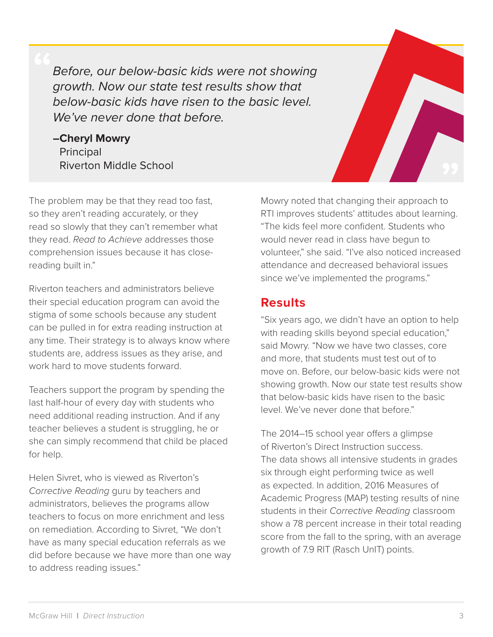*Before, our below-basic kids were not showing growth. Now our state test results show that below-basic kids have risen to the basic level. We've never done that before.*

**–Cheryl Mowry**  Principal Riverton Middle School



The problem may be that they read too fast, so they aren't reading accurately, or they read so slowly that they can't remember what they read. *Read to Achieve* addresses those comprehension issues because it has closereading built in."

Riverton teachers and administrators believe their special education program can avoid the stigma of some schools because any student can be pulled in for extra reading instruction at any time. Their strategy is to always know where students are, address issues as they arise, and work hard to move students forward

Teachers support the program by spending the last half-hour of every day with students who need additional reading instruction. And if any teacher believes a student is struggling, he or she can simply recommend that child be placed for help.

Helen Sivret, who is viewed as Riverton's *Corrective Reading* guru by teachers and administrators, believes the programs allow teachers to focus on more enrichment and less on remediation. According to Sivret, "We don't have as many special education referrals as we did before because we have more than one way to address reading issues."

Mowry noted that changing their approach to RTI improves students' attitudes about learning. "The kids feel more confident. Students who would never read in class have begun to volunteer," she said. "I've also noticed increased attendance and decreased behavioral issues since we've implemented the programs."

#### **Results**

"Six years ago, we didn't have an option to help with reading skills beyond special education," said Mowry. "Now we have two classes, core and more, that students must test out of to move on. Before, our below-basic kids were not showing growth. Now our state test results show that below-basic kids have risen to the basic level. We've never done that before."

The 2014–15 school year offers a glimpse of Riverton's Direct Instruction success. The data shows all intensive students in grades six through eight performing twice as well as expected. In addition, 2016 Measures of Academic Progress (MAP) testing results of nine students in their *Corrective Reading* classroom show a 78 percent increase in their total reading score from the fall to the spring, with an average growth of 7.9 RIT (Rasch UnIT) points.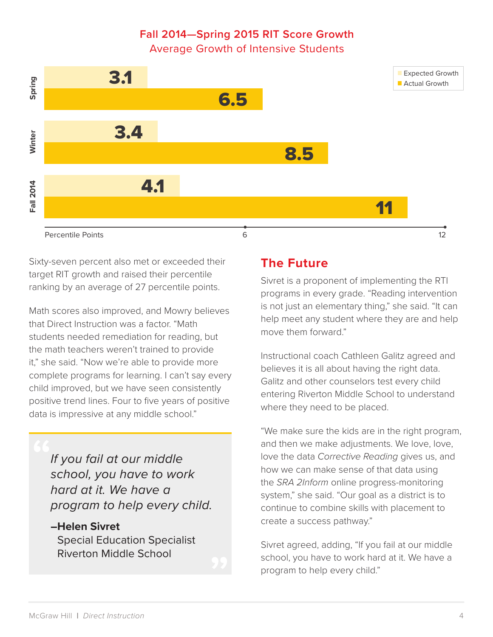# **Fall 2014—Spring 2015 RIT Score Growth**

Average Growth of Intensive Students



Sixty-seven percent also met or exceeded their target RIT growth and raised their percentile ranking by an average of 27 percentile points.

Math scores also improved, and Mowry believes that Direct Instruction was a factor. "Math students needed remediation for reading, but the math teachers weren't trained to provide it," she said. "Now we're able to provide more complete programs for learning. I can't say every child improved, but we have seen consistently positive trend lines. Four to five years of positive data is impressive at any middle school."

*If you fail at our middle school, you have to work hard at it. We have a program to help every child.*

#### **–Helen Sivret**  Special Education Specialist Riverton Middle School

#### **The Future**

Sivret is a proponent of implementing the RTI programs in every grade. "Reading intervention is not just an elementary thing," she said. "It can help meet any student where they are and help move them forward."

Instructional coach Cathleen Galitz agreed and believes it is all about having the right data. Galitz and other counselors test every child entering Riverton Middle School to understand where they need to be placed.

"We make sure the kids are in the right program, and then we make adjustments. We love, love, love the data *Corrective Reading* gives us, and how we can make sense of that data using the *SRA 2Inform* online progress-monitoring system," she said. "Our goal as a district is to continue to combine skills with placement to create a success pathway."

Sivret agreed, adding, "If you fail at our middle school, you have to work hard at it. We have a program to help every child."